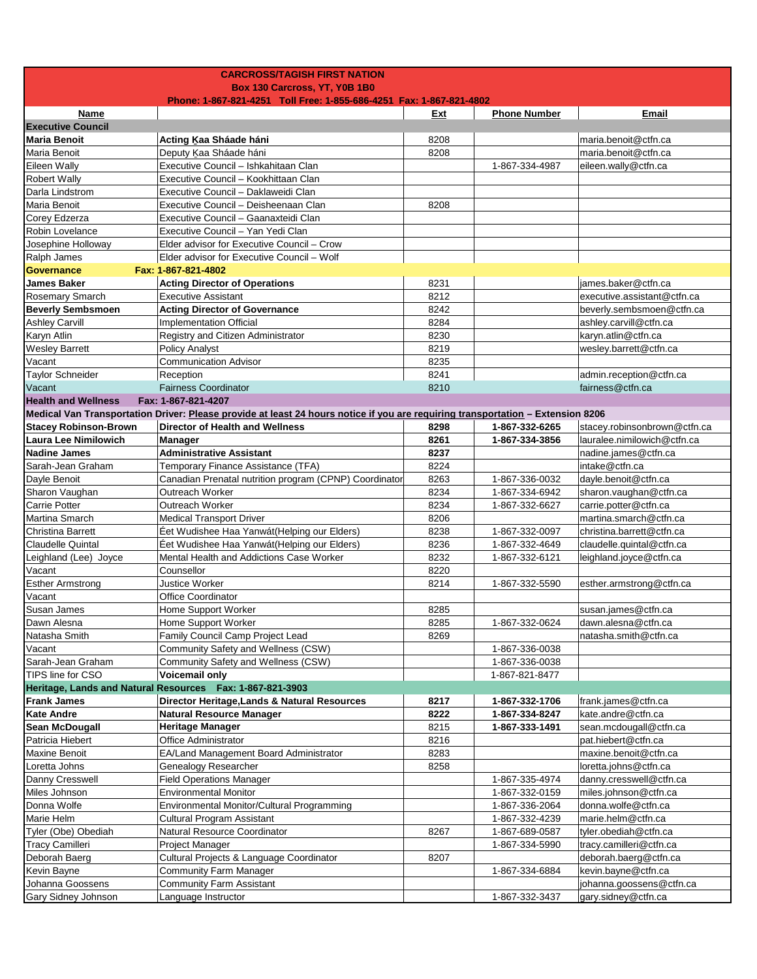|                                  | <b>CARCROSS/TAGISH FIRST NATION</b>                                                                                             |      |                                  |                              |
|----------------------------------|---------------------------------------------------------------------------------------------------------------------------------|------|----------------------------------|------------------------------|
|                                  | Box 130 Carcross, YT, Y0B 1B0                                                                                                   |      |                                  |                              |
|                                  | Phone: 1-867-821-4251 Toll Free: 1-855-686-4251 Fax: 1-867-821-4802                                                             |      |                                  |                              |
| Name<br><b>Executive Council</b> |                                                                                                                                 | Ext  | <b>Phone Number</b>              | Email                        |
| <b>Maria Benoit</b>              | Acting Kaa Sháade háni                                                                                                          | 8208 |                                  | maria.benoit@ctfn.ca         |
| Maria Benoit                     | Deputy Kaa Sháade háni                                                                                                          | 8208 |                                  | maria.benoit@ctfn.ca         |
| <b>Eileen Wally</b>              | Executive Council - Ishkahitaan Clan                                                                                            |      | 1-867-334-4987                   | eileen.wally@ctfn.ca         |
| <b>Robert Wally</b>              | Executive Council - Kookhittaan Clan                                                                                            |      |                                  |                              |
| Darla Lindstrom                  | Executive Council - Daklaweidi Clan                                                                                             |      |                                  |                              |
| Maria Benoit                     | Executive Council - Deisheenaan Clan                                                                                            | 8208 |                                  |                              |
| Corey Edzerza                    | Executive Council - Gaanaxteidi Clan                                                                                            |      |                                  |                              |
| Robin Lovelance                  | Executive Council - Yan Yedi Clan                                                                                               |      |                                  |                              |
| Josephine Holloway               | Elder advisor for Executive Council - Crow                                                                                      |      |                                  |                              |
| Ralph James                      | Elder advisor for Executive Council - Wolf                                                                                      |      |                                  |                              |
| <b>Governance</b>                | Fax: 1-867-821-4802                                                                                                             |      |                                  |                              |
| <b>James Baker</b>               | <b>Acting Director of Operations</b>                                                                                            | 8231 |                                  | james.baker@ctfn.ca          |
| Rosemary Smarch                  | <b>Executive Assistant</b>                                                                                                      | 8212 |                                  | executive.assistant@ctfn.ca  |
| <b>Beverly Sembsmoen</b>         | <b>Acting Director of Governance</b>                                                                                            | 8242 |                                  | beverly.sembsmoen@ctfn.ca    |
| <b>Ashley Carvill</b>            | Implementation Official                                                                                                         | 8284 |                                  | ashley.carvill@ctfn.ca       |
| Karyn Atlin                      | Registry and Citizen Administrator                                                                                              | 8230 |                                  | karyn.atlin@ctfn.ca          |
| <b>Wesley Barrett</b>            | <b>Policy Analyst</b>                                                                                                           | 8219 |                                  | wesley.barrett@ctfn.ca       |
| Vacant                           | <b>Communication Advisor</b>                                                                                                    | 8235 |                                  |                              |
| <b>Taylor Schneider</b>          | Reception                                                                                                                       | 8241 |                                  | admin.reception@ctfn.ca      |
| Vacant                           | <b>Fairness Coordinator</b>                                                                                                     | 8210 |                                  | fairness@ctfn.ca             |
| <b>Health and Wellness</b>       | Fax: 1-867-821-4207                                                                                                             |      |                                  |                              |
|                                  | Medical Van Transportation Driver: Please provide at least 24 hours notice if you are requiring transportation - Extension 8206 |      |                                  |                              |
| <b>Stacey Robinson-Brown</b>     | <b>Director of Health and Wellness</b>                                                                                          | 8298 | 1-867-332-6265                   | stacey.robinsonbrown@ctfn.ca |
| <b>Laura Lee Nimilowich</b>      | <b>Manager</b>                                                                                                                  | 8261 | 1-867-334-3856                   | lauralee.nimilowich@ctfn.ca  |
| <b>Nadine James</b>              | <b>Administrative Assistant</b>                                                                                                 | 8237 |                                  | nadine.james@ctfn.ca         |
| Sarah-Jean Graham                | Temporary Finance Assistance (TFA)                                                                                              | 8224 |                                  | intake@ctfn.ca               |
| Dayle Benoit                     | Canadian Prenatal nutrition program (CPNP) Coordinator                                                                          | 8263 | 1-867-336-0032                   | dayle.benoit@ctfn.ca         |
| Sharon Vaughan                   | Outreach Worker                                                                                                                 | 8234 | 1-867-334-6942                   | sharon.vaughan@ctfn.ca       |
| Carrie Potter                    | Outreach Worker                                                                                                                 | 8234 | 1-867-332-6627                   | carrie.potter@ctfn.ca        |
| Martina Smarch                   | <b>Medical Transport Driver</b>                                                                                                 | 8206 |                                  | martina.smarch@ctfn.ca       |
| Christina Barrett                | Éet Wudishee Haa Yanwát (Helping our Elders)                                                                                    | 8238 | 1-867-332-0097                   | christina.barrett@ctfn.ca    |
| Claudelle Quintal                | Éet Wudishee Haa Yanwát (Helping our Elders)                                                                                    | 8236 | 1-867-332-4649                   | claudelle.quintal@ctfn.ca    |
| Leighland (Lee) Joyce            | Mental Health and Addictions Case Worker                                                                                        | 8232 | 1-867-332-6121                   | leighland.joyce@ctfn.ca      |
| Vacant                           | Counsellor                                                                                                                      | 8220 |                                  |                              |
| <b>Esther Armstrong</b>          | Justice Worker                                                                                                                  | 8214 | 1-867-332-5590                   | esther.armstrong@ctfn.ca     |
| Vacant                           | Office Coordinator                                                                                                              |      |                                  |                              |
| <b>Susan James</b>               | Home Support Worker                                                                                                             | 8285 |                                  | susan.james@ctfn.ca          |
| Dawn Alesna                      | <b>Home Support Worker</b>                                                                                                      | 8285 | 1-867-332-0624                   | dawn.alesna@ctfn.ca          |
| Natasha Smith                    | Family Council Camp Project Lead<br>Community Safety and Wellness (CSW)                                                         | 8269 |                                  | natasha.smith@ctfn.ca        |
| Vacant<br>Sarah-Jean Graham      |                                                                                                                                 |      | 1-867-336-0038<br>1-867-336-0038 |                              |
| TIPS line for CSO                | Community Safety and Wellness (CSW)<br>Voicemail only                                                                           |      | 1-867-821-8477                   |                              |
|                                  | Heritage, Lands and Natural Resources Fax: 1-867-821-3903                                                                       |      |                                  |                              |
| <b>Frank James</b>               | <b>Director Heritage, Lands &amp; Natural Resources</b>                                                                         | 8217 | 1-867-332-1706                   | frank.james@ctfn.ca          |
| <b>Kate Andre</b>                | <b>Natural Resource Manager</b>                                                                                                 | 8222 | 1-867-334-8247                   | kate.andre@ctfn.ca           |
| <b>Sean McDougall</b>            | <b>Heritage Manager</b>                                                                                                         | 8215 | 1-867-333-1491                   | sean.mcdougall@ctfn.ca       |
| Patricia Hiebert                 | Office Administrator                                                                                                            | 8216 |                                  | pat.hiebert@ctfn.ca          |
| Maxine Benoit                    | EA/Land Management Board Administrator                                                                                          | 8283 |                                  | maxine.benoit@ctfn.ca        |
| Loretta Johns                    | Genealogy Researcher                                                                                                            | 8258 |                                  | loretta.johns@ctfn.ca        |
| Danny Cresswell                  | <b>Field Operations Manager</b>                                                                                                 |      | 1-867-335-4974                   | danny.cresswell@ctfn.ca      |
| Miles Johnson                    | <b>Environmental Monitor</b>                                                                                                    |      | 1-867-332-0159                   | miles.johnson@ctfn.ca        |
| Donna Wolfe                      | Environmental Monitor/Cultural Programming                                                                                      |      | 1-867-336-2064                   | donna.wolfe@ctfn.ca          |
| Marie Helm                       | Cultural Program Assistant                                                                                                      |      | 1-867-332-4239                   | marie.helm@ctfn.ca           |
| Tyler (Obe) Obediah              | Natural Resource Coordinator                                                                                                    | 8267 | 1-867-689-0587                   | tyler.obediah@ctfn.ca        |
| <b>Tracy Camilleri</b>           | Project Manager                                                                                                                 |      | 1-867-334-5990                   | tracy.camilleri@ctfn.ca      |
| Deborah Baerg                    | Cultural Projects & Language Coordinator                                                                                        | 8207 |                                  | deborah.baerg@ctfn.ca        |
| Kevin Bayne                      | Community Farm Manager                                                                                                          |      | 1-867-334-6884                   | kevin.bayne@ctfn.ca          |
| Johanna Goossens                 | <b>Community Farm Assistant</b>                                                                                                 |      |                                  | johanna.goossens@ctfn.ca     |
| <b>Gary Sidney Johnson</b>       | Language Instructor                                                                                                             |      | 1-867-332-3437                   | gary.sidney@ctfn.ca          |
|                                  |                                                                                                                                 |      |                                  |                              |